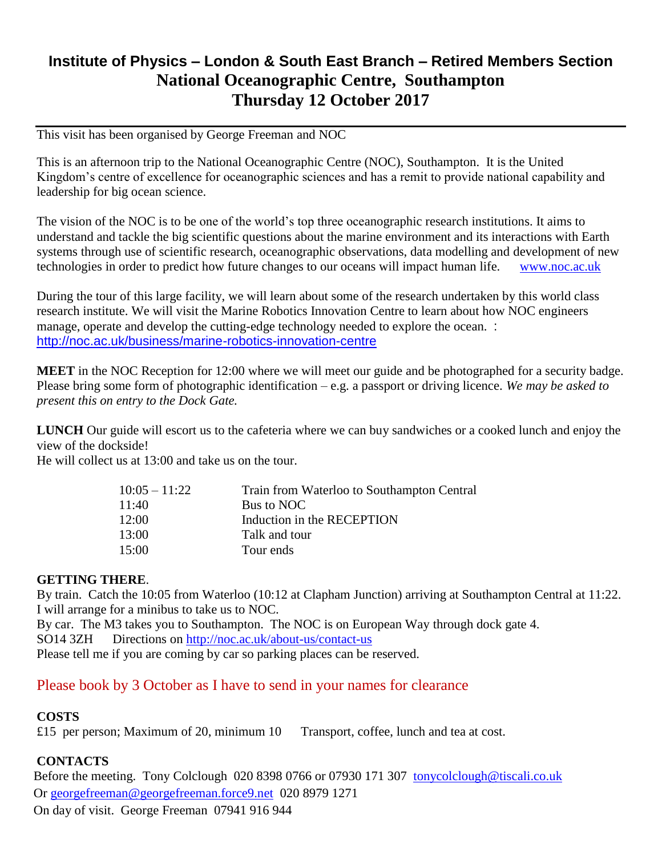# **Institute of Physics – London & South East Branch – Retired Members Section National Oceanographic Centre, Southampton Thursday 12 October 2017**

This visit has been organised by George Freeman and NOC

This is an afternoon trip to the National Oceanographic Centre (NOC), Southampton. It is the United Kingdom's centre of excellence for oceanographic sciences and has a remit to provide national capability and leadership for big ocean science.

The vision of the NOC is to be one of the world's top three oceanographic research institutions. It aims to understand and tackle the big scientific questions about the marine environment and its interactions with Earth systems through use of scientific research, oceanographic observations, data modelling and development of new technologies in order to predict how future changes to our oceans will impact human life. [www.noc.ac.uk](http://www.noc.ac.uk/)

During the tour of this large facility, we will learn about some of the research undertaken by this world class research institute. We will visit the Marine Robotics Innovation Centre to learn about how NOC engineers manage, operate and develop the cutting-edge technology needed to explore the ocean. : <http://noc.ac.uk/business/marine-robotics-innovation-centre>

**MEET** in the NOC Reception for 12:00 where we will meet our guide and be photographed for a security badge. Please bring some form of photographic identification – e.g. a passport or driving licence. *We may be asked to present this on entry to the Dock Gate.* 

**LUNCH** Our guide will escort us to the cafeteria where we can buy sandwiches or a cooked lunch and enjoy the view of the dockside!

He will collect us at 13:00 and take us on the tour.

| $10:05 - 11:22$ | Train from Waterloo to Southampton Central |
|-----------------|--------------------------------------------|
| 11:40           | Bus to NOC                                 |
| 12:00           | Induction in the RECEPTION                 |
| 13:00           | Talk and tour                              |
| 15:00           | Tour ends                                  |

### **GETTING THERE**.

By train. Catch the 10:05 from Waterloo (10:12 at Clapham Junction) arriving at Southampton Central at 11:22. I will arrange for a minibus to take us to NOC.

By car. The M3 takes you to Southampton. The NOC is on European Way through dock gate 4. SO14 3ZH Directions on<http://noc.ac.uk/about-us/contact-us>

Please tell me if you are coming by car so parking places can be reserved.

## Please book by 3 October as I have to send in your names for clearance

### **COSTS**

£15 per person; Maximum of 20, minimum 10 Transport, coffee, lunch and tea at cost.

#### **CONTACTS**

Before the meeting. Tony Colclough 020 8398 0766 or 07930 171 307 [tonycolclough@tiscali.co.uk](mailto:tonycolclough@tiscali.co.uk) Or [georgefreeman@georgefreeman.force9.net](mailto:georgefreeman@georgefreeman.force9.net) 020 8979 1271 On day of visit. George Freeman 07941 916 944